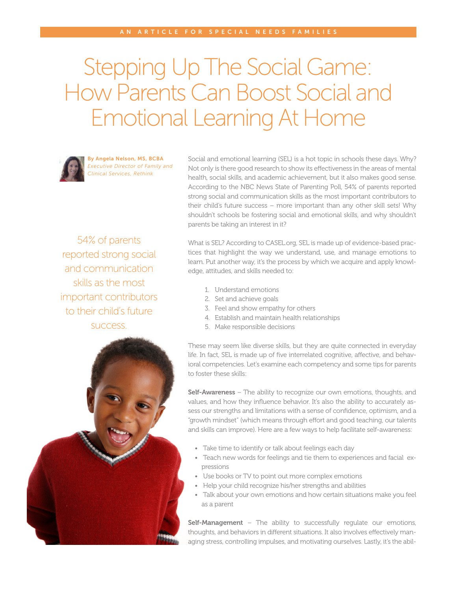## Stepping Up The Social Game: How Parents Can Boost Social and Emotional Learning At Home



By Angela Nelson, MS, BCBA *Executive Director of Family and Clinical Services, Rethink*

Social and emotional learning (SEL) is a hot topic in schools these days. Why? Not only is there good research to show its effectiveness in the areas of mental health, social skills, and academic achievement, but it also makes good sense. According to the NBC News State of Parenting Poll, 54% of parents reported strong social and communication skills as the most important contributors to their child's future success – more important than any other skill sets! Why shouldn't schools be fostering social and emotional skills, and why shouldn't parents be taking an interest in it?

54% of parents reported strong social and communication skills as the most important contributors to their child's future success.



What is SEL? According to CASEL.org, SEL is made up of evidence-based practices that highlight the way we understand, use, and manage emotions to learn. Put another way, it's the process by which we acquire and apply knowledge, attitudes, and skills needed to:

- 1. Understand emotions
- 2. Set and achieve goals
- 3. Feel and show empathy for others
- 4. Establish and maintain health relationships
- 5. Make responsible decisions

These may seem like diverse skills, but they are quite connected in everyday life. In fact, SEL is made up of five interrelated cognitive, affective, and behavioral competencies. Let's examine each competency and some tips for parents to foster these skills:

Self-Awareness – The ability to recognize our own emotions, thoughts, and values, and how they influence behavior. It's also the ability to accurately assess our strengths and limitations with a sense of confidence, optimism, and a "growth mindset" (which means through effort and good teaching, our talents and skills can improve). Here are a few ways to help facilitate self-awareness:

- Take time to identify or talk about feelings each day
- Teach new words for feelings and tie them to experiences and facial expressions
- Use books or TV to point out more complex emotions
- Help your child recognize his/her strengths and abilities
- Talk about your own emotions and how certain situations make you feel as a parent

Self-Management – The ability to successfully regulate our emotions, thoughts, and behaviors in different situations. It also involves effectively managing stress, controlling impulses, and motivating ourselves. Lastly, it's the abil